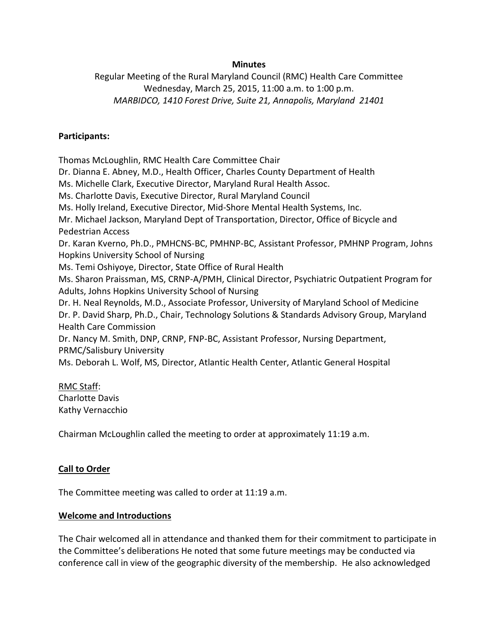### **Minutes**

Regular Meeting of the Rural Maryland Council (RMC) Health Care Committee Wednesday, March 25, 2015, 11:00 a.m. to 1:00 p.m. *MARBIDCO, 1410 Forest Drive, Suite 21, Annapolis, Maryland 21401*

## **Participants:**

Thomas McLoughlin, RMC Health Care Committee Chair Dr. Dianna E. Abney, M.D., Health Officer, Charles County Department of Health Ms. Michelle Clark, Executive Director, Maryland Rural Health Assoc. Ms. Charlotte Davis, Executive Director, Rural Maryland Council Ms. Holly Ireland, Executive Director, Mid-Shore Mental Health Systems, Inc. Mr. Michael Jackson, Maryland Dept of Transportation, Director, Office of Bicycle and Pedestrian Access Dr. Karan Kverno, Ph.D., PMHCNS-BC, PMHNP-BC, Assistant Professor, PMHNP Program, Johns Hopkins University School of Nursing Ms. Temi Oshiyoye, Director, State Office of Rural Health Ms. Sharon Praissman, MS, CRNP-A/PMH, Clinical Director, Psychiatric Outpatient Program for Adults, Johns Hopkins University School of Nursing Dr. H. Neal Reynolds, M.D., Associate Professor, University of Maryland School of Medicine Dr. P. David Sharp, Ph.D., Chair, Technology Solutions & Standards Advisory Group, Maryland Health Care Commission Dr. Nancy M. Smith, DNP, CRNP, FNP-BC, Assistant Professor, Nursing Department, PRMC/Salisbury University Ms. Deborah L. Wolf, MS, Director, Atlantic Health Center, Atlantic General Hospital

### RMC Staff:

Charlotte Davis Kathy Vernacchio

Chairman McLoughlin called the meeting to order at approximately 11:19 a.m.

# **Call to Order**

The Committee meeting was called to order at 11:19 a.m.

### **Welcome and Introductions**

The Chair welcomed all in attendance and thanked them for their commitment to participate in the Committee's deliberations He noted that some future meetings may be conducted via conference call in view of the geographic diversity of the membership. He also acknowledged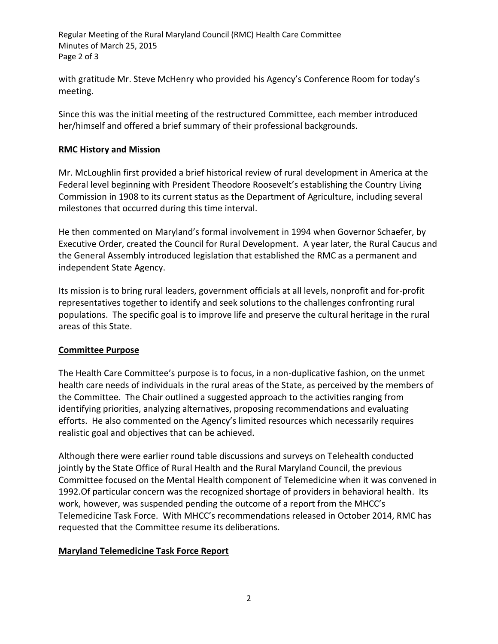Regular Meeting of the Rural Maryland Council (RMC) Health Care Committee Minutes of March 25, 2015 Page 2 of 3

with gratitude Mr. Steve McHenry who provided his Agency's Conference Room for today's meeting.

Since this was the initial meeting of the restructured Committee, each member introduced her/himself and offered a brief summary of their professional backgrounds.

## **RMC History and Mission**

Mr. McLoughlin first provided a brief historical review of rural development in America at the Federal level beginning with President Theodore Roosevelt's establishing the Country Living Commission in 1908 to its current status as the Department of Agriculture, including several milestones that occurred during this time interval.

He then commented on Maryland's formal involvement in 1994 when Governor Schaefer, by Executive Order, created the Council for Rural Development. A year later, the Rural Caucus and the General Assembly introduced legislation that established the RMC as a permanent and independent State Agency.

Its mission is to bring rural leaders, government officials at all levels, nonprofit and for-profit representatives together to identify and seek solutions to the challenges confronting rural populations. The specific goal is to improve life and preserve the cultural heritage in the rural areas of this State.

# **Committee Purpose**

The Health Care Committee's purpose is to focus, in a non-duplicative fashion, on the unmet health care needs of individuals in the rural areas of the State, as perceived by the members of the Committee. The Chair outlined a suggested approach to the activities ranging from identifying priorities, analyzing alternatives, proposing recommendations and evaluating efforts. He also commented on the Agency's limited resources which necessarily requires realistic goal and objectives that can be achieved.

Although there were earlier round table discussions and surveys on Telehealth conducted jointly by the State Office of Rural Health and the Rural Maryland Council, the previous Committee focused on the Mental Health component of Telemedicine when it was convened in 1992.Of particular concern was the recognized shortage of providers in behavioral health. Its work, however, was suspended pending the outcome of a report from the MHCC's Telemedicine Task Force. With MHCC's recommendations released in October 2014, RMC has requested that the Committee resume its deliberations.

# **Maryland Telemedicine Task Force Report**